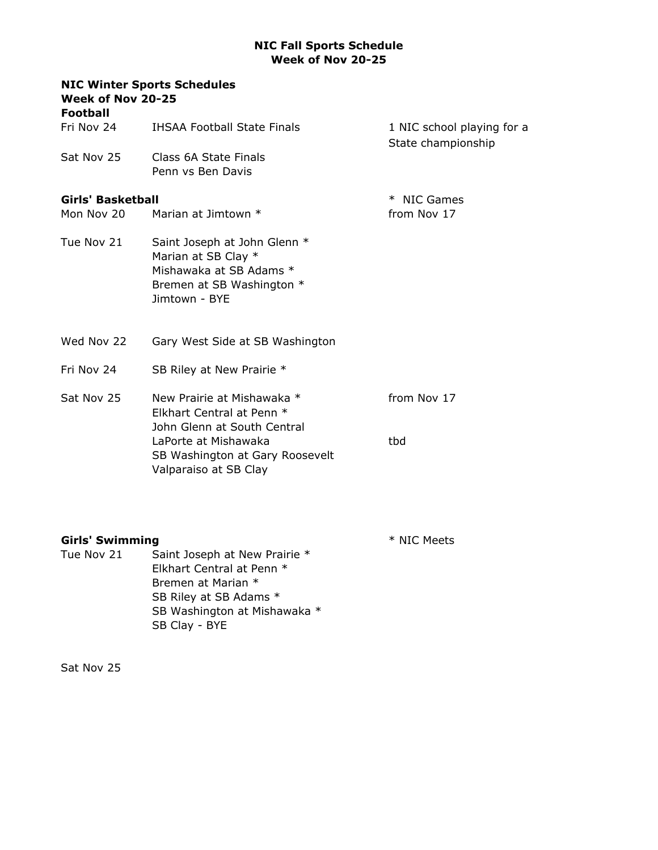## NIC Fall Sports Schedule Week of Nov 20-25

| <b>NIC Winter Sports Schedules</b><br>Week of Nov 20-25<br><b>Football</b> |                                                                                                                              |                                                  |  |  |
|----------------------------------------------------------------------------|------------------------------------------------------------------------------------------------------------------------------|--------------------------------------------------|--|--|
| Fri Nov 24                                                                 | <b>IHSAA Football State Finals</b>                                                                                           | 1 NIC school playing for a<br>State championship |  |  |
| Sat Nov 25                                                                 | Class 6A State Finals<br>Penn vs Ben Davis                                                                                   |                                                  |  |  |
| <b>Girls' Basketball</b>                                                   |                                                                                                                              | * NIC Games                                      |  |  |
| Mon Nov 20                                                                 | Marian at Jimtown *                                                                                                          | from Nov 17                                      |  |  |
| Tue Nov 21                                                                 | Saint Joseph at John Glenn *<br>Marian at SB Clay *<br>Mishawaka at SB Adams *<br>Bremen at SB Washington *<br>Jimtown - BYE |                                                  |  |  |
| Wed Nov 22                                                                 | Gary West Side at SB Washington                                                                                              |                                                  |  |  |
| Fri Nov 24                                                                 | SB Riley at New Prairie *                                                                                                    |                                                  |  |  |
| Sat Nov 25                                                                 | New Prairie at Mishawaka *<br>Elkhart Central at Penn *<br>John Glenn at South Central                                       | from Nov 17                                      |  |  |
|                                                                            | LaPorte at Mishawaka<br>SB Washington at Gary Roosevelt<br>Valparaiso at SB Clay                                             | tbd                                              |  |  |

| <b>Girls' Swimming</b> |                                                                                                                                                             | * NIC Meets |
|------------------------|-------------------------------------------------------------------------------------------------------------------------------------------------------------|-------------|
| Tue Nov 21             | Saint Joseph at New Prairie *<br>Elkhart Central at Penn *<br>Bremen at Marian *<br>SB Riley at SB Adams *<br>SB Washington at Mishawaka *<br>SB Clay - BYE |             |
|                        |                                                                                                                                                             |             |

Sat Nov 25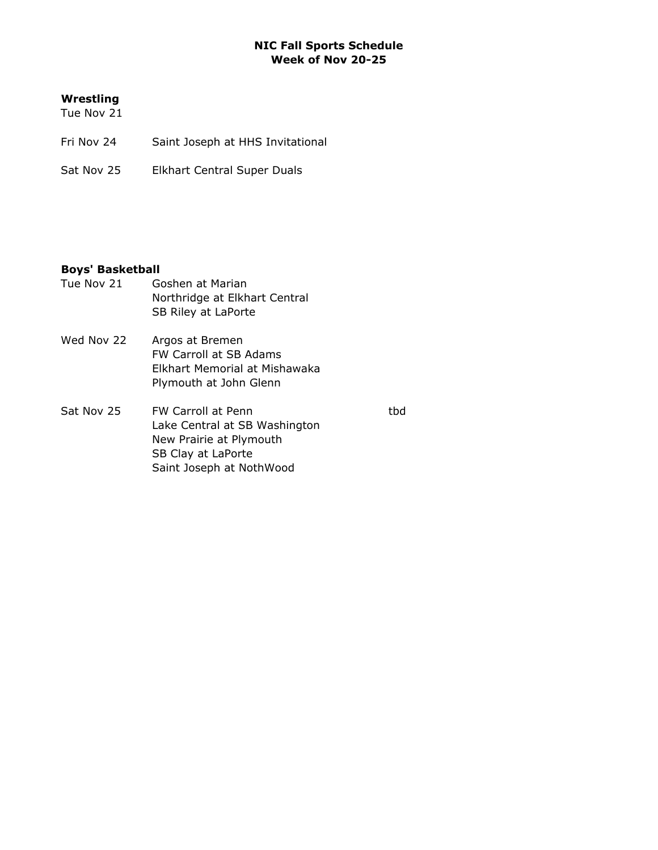## NIC Fall Sports Schedule Week of Nov 20-25

## Wrestling

Tue Nov 21

- Fri Nov 24 Saint Joseph at HHS Invitational
- Sat Nov 25 Elkhart Central Super Duals

## Boys' Basketball

Tue Nov 21 Goshen at Marian Northridge at Elkhart Central SB Riley at LaPorte Wed Nov 22 Argos at Bremen FW Carroll at SB Adams Elkhart Memorial at Mishawaka Plymouth at John Glenn Sat Nov 25 FW Carroll at Penn that the things that the things that the things that the things that the things that the things that the things that the things that the things that the things that the things that the things Lake Central at SB Washington New Prairie at Plymouth SB Clay at LaPorte

Saint Joseph at NothWood